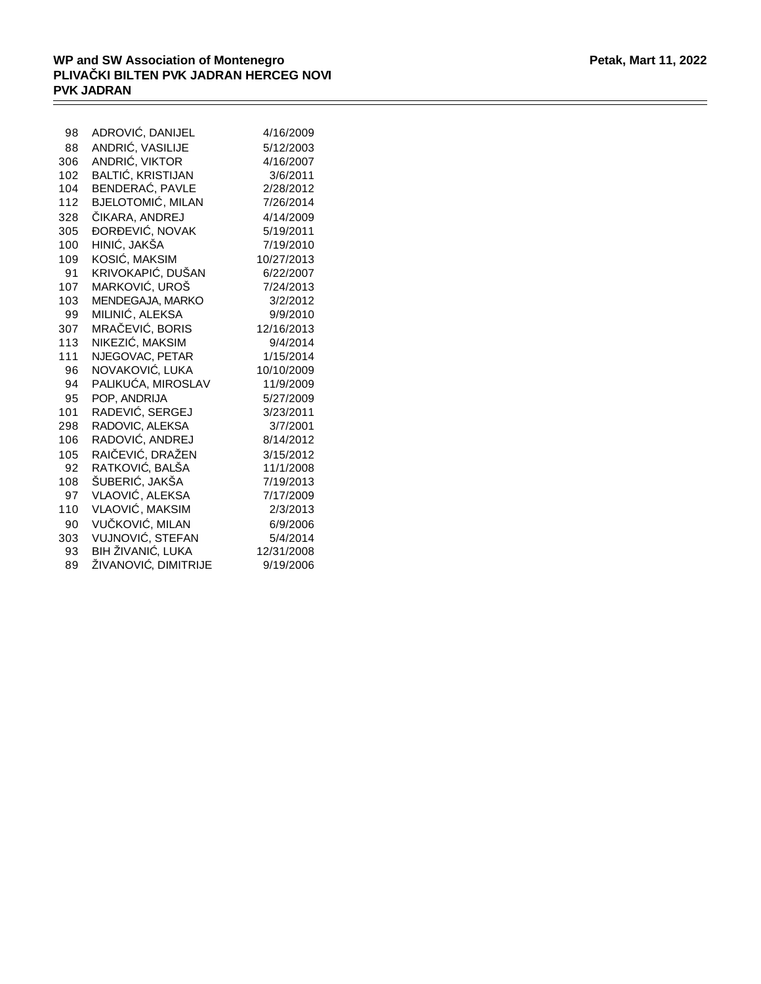$\qquad \qquad =$ 

| 98  | ADROVI, DANIJEL      | 4/16/2009  |
|-----|----------------------|------------|
| 88  | ANDRI, VASILIJE      | 5/12/2003  |
| 306 | ANDRI, VIKTOR        | 4/16/2007  |
| 102 | BALTI, KRISTIJAN     | 3/6/2011   |
| 104 | BENDERA, PAVLE       | 2/28/2012  |
| 112 | BJELOTOMI, MILAN     | 7/26/2014  |
| 328 | <b>IKARA, ANDREJ</b> | 4/14/2009  |
| 305 | OR EVI , NOVAK       | 5/19/2011  |
| 100 | HINI , JAKŠA         | 7/19/2010  |
| 109 | KOSI, MAKSIM         | 10/27/2013 |
| 91  | KRIVOKAPI, DUŠAN     | 6/22/2007  |
| 107 | MARKOVI , UROŠ       | 7/24/2013  |
| 103 | MENDEGAJA, MARKO     | 3/2/2012   |
| 99  | MILINI, ALEKSA       | 9/9/2010   |
| 307 | MRA EVI , BORIS      | 12/16/2013 |
| 113 | NIKEZI, MAKSIM       | 9/4/2014   |
| 111 | NJEGOVAC, PETAR      | 1/15/2014  |
| 96  | NOVAKOVI, LUKA       | 10/10/2009 |
| 94  | PALIKU A, MIROSLAV   | 11/9/2009  |
| 95  | POP, ANDRIJA         | 5/27/2009  |
| 101 | RADEVI , SERGEJ      | 3/23/2011  |
| 298 | RADOVIC, ALEKSA      | 3/7/2001   |
| 106 | RADOVI, ANDREJ       | 8/14/2012  |
| 105 | RAI EVI, DRAŽEN      | 3/15/2012  |
| 92  | RATKOVI, BALŠA       | 11/1/2008  |
| 108 | ŠUBERI , JAKŠA       | 7/19/2013  |
| 97  | VLAOVI, ALEKSA       | 7/17/2009  |
| 110 | VLAOVI , MAKSIM      | 2/3/2013   |
| 90  | VU KOVI, MILAN       | 6/9/2006   |
| 303 | VUJNOVI , STEFAN     | 5/4/2014   |
| 93  | BIH ŽIVANI, LUKA     | 12/31/2008 |
| 89  | ŽIVANOVI , DIMITRIJE | 9/19/2006  |
|     |                      |            |

 $=$